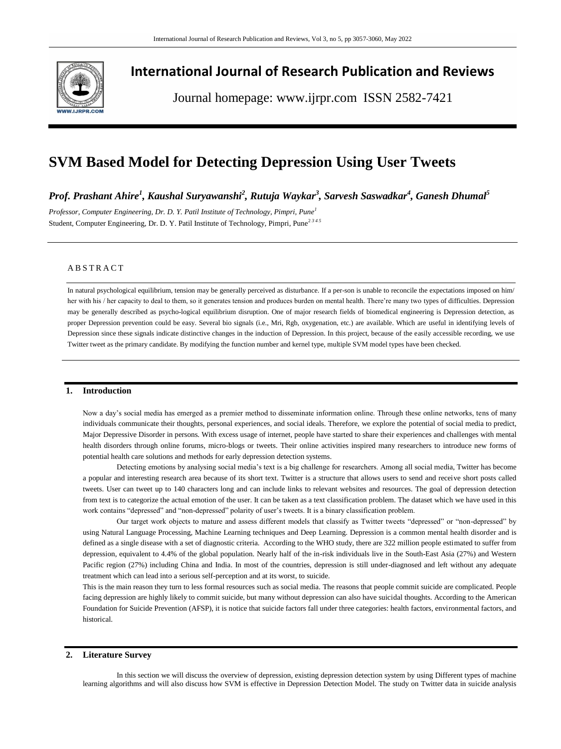

# **International Journal of Research Publication and Reviews**

Journal homepage: www.ijrpr.com ISSN 2582-7421

# **SVM Based Model for Detecting Depression Using User Tweets**

*Prof. Prashant Ahire<sup>1</sup> , Kaushal Suryawanshi<sup>2</sup> , Rutuja Waykar<sup>3</sup> , Sarvesh Saswadkar<sup>4</sup> , Ganesh Dhumal<sup>5</sup>*

*Professor, Computer Engineering, Dr. D. Y. Patil Institute of Technology, Pimpri, Pune<sup>1</sup>* Student, Computer Engineering, Dr. D. Y. Patil Institute of Technology, Pimpri, Pune<sup>2345</sup>

# A B S T R A C T

In natural psychological equilibrium, tension may be generally perceived as disturbance. If a per-son is unable to reconcile the expectations imposed on him/ her with his / her capacity to deal to them, so it generates tension and produces burden on mental health. There're many two types of difficulties. Depression may be generally described as psycho-logical equilibrium disruption. One of major research fields of biomedical engineering is Depression detection, as proper Depression prevention could be easy. Several bio signals (i.e., Mri, Rgb, oxygenation, etc.) are available. Which are useful in identifying levels of Depression since these signals indicate distinctive changes in the induction of Depression. In this project, because of the easily accessible recording, we use Twitter tweet as the primary candidate. By modifying the function number and kernel type, multiple SVM model types have been checked.

### **1. Introduction**

Now a day's social media has emerged as a premier method to disseminate information online. Through these online networks, tens of many individuals communicate their thoughts, personal experiences, and social ideals. Therefore, we explore the potential of social media to predict, Major Depressive Disorder in persons. With excess usage of internet, people have started to share their experiences and challenges with mental health disorders through online forums, micro-blogs or tweets. Their online activities inspired many researchers to introduce new forms of potential health care solutions and methods for early depression detection systems.

Detecting emotions by analysing social media's text is a big challenge for researchers. Among all social media, Twitter has become a popular and interesting research area because of its short text. Twitter is a structure that allows users to send and receive short posts called tweets. User can tweet up to 140 characters long and can include links to relevant websites and resources. The goal of depression detection from text is to categorize the actual emotion of the user. It can be taken as a text classification problem. The dataset which we have used in this work contains "depressed" and "non-depressed" polarity of user's tweets. It is a binary classification problem.

Our target work objects to mature and assess different models that classify as Twitter tweets "depressed" or "non-depressed" by using Natural Language Processing, Machine Learning techniques and Deep Learning. Depression is a common mental health disorder and is defined as a single disease with a set of diagnostic criteria. According to the WHO study, there are 322 million people estimated to suffer from depression, equivalent to 4.4% of the global population. Nearly half of the in-risk individuals live in the South-East Asia (27%) and Western Pacific region (27%) including China and India. In most of the countries, depression is still under-diagnosed and left without any adequate treatment which can lead into a serious self-perception and at its worst, to suicide.

This is the main reason they turn to less formal resources such as social media. The reasons that people commit suicide are complicated. People facing depression are highly likely to commit suicide, but many without depression can also have suicidal thoughts. According to the American Foundation for Suicide Prevention (AFSP), it is notice that suicide factors fall under three categories: health factors, environmental factors, and historical.

## **2. Literature Survey**

In this section we will discuss the overview of depression, existing depression detection system by using Different types of machine learning algorithms and will also discuss how SVM is effective in Depression Detection Model. The study on Twitter data in suicide analysis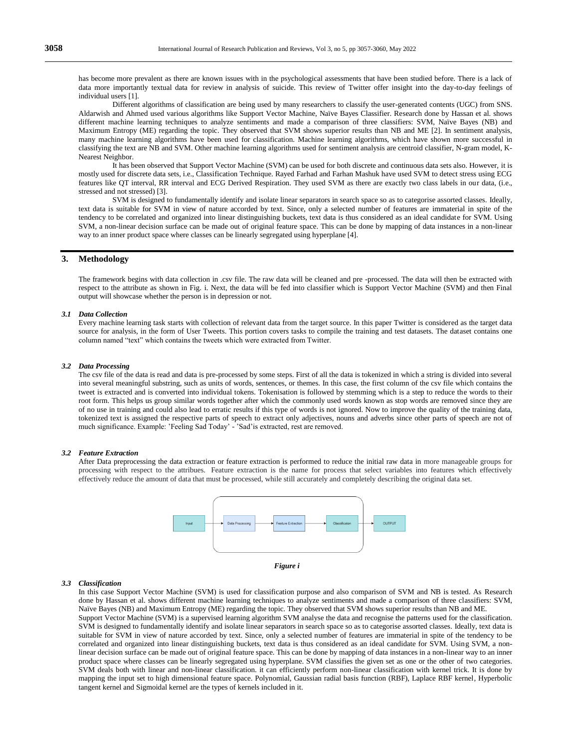has become more prevalent as there are known issues with in the psychological assessments that have been studied before. There is a lack of data more importantly textual data for review in analysis of suicide. This review of Twitter offer insight into the day-to-day feelings of individual users [1].

Different algorithms of classification are being used by many researchers to classify the user-generated contents (UGC) from SNS. Aldarwish and Ahmed used various algorithms like Support Vector Machine, Naïve Bayes Classifier. Research done by Hassan et al. shows different machine learning techniques to analyze sentiments and made a comparison of three classifiers: SVM, Naïve Bayes (NB) and Maximum Entropy (ME) regarding the topic. They observed that SVM shows superior results than NB and ME [2]. In sentiment analysis, many machine learning algorithms have been used for classification. Machine learning algorithms, which have shown more successful in classifying the text are NB and SVM. Other machine learning algorithms used for sentiment analysis are centroid classifier, N-gram model, K-Nearest Neighbor.

It has been observed that Support Vector Machine (SVM) can be used for both discrete and continuous data sets also. However, it is mostly used for discrete data sets, i.e., Classification Technique. Rayed Farhad and Farhan Mashuk have used SVM to detect stress using ECG features like QT interval, RR interval and ECG Derived Respiration. They used SVM as there are exactly two class labels in our data, (i.e., stressed and not stressed) [3].

SVM is designed to fundamentally identify and isolate linear separators in search space so as to categorise assorted classes. Ideally, text data is suitable for SVM in view of nature accorded by text. Since, only a selected number of features are immaterial in spite of the tendency to be correlated and organized into linear distinguishing buckets, text data is thus considered as an ideal candidate for SVM. Using SVM, a non-linear decision surface can be made out of original feature space. This can be done by mapping of data instances in a non-linear way to an inner product space where classes can be linearly segregated using hyperplane [4].

## **3. Methodology**

The framework begins with data collection in .csv file. The raw data will be cleaned and pre -processed. The data will then be extracted with respect to the attribute as shown in Fig. i. Next, the data will be fed into classifier which is Support Vector Machine (SVM) and then Final output will showcase whether the person is in depression or not.

#### *3.1 Data Collection*

Every machine learning task starts with collection of relevant data from the target source. In this paper Twitter is considered as the target data source for analysis, in the form of User Tweets. This portion covers tasks to compile the training and test datasets. The dataset contains one column named "text" which contains the tweets which were extracted from Twitter.

### *3.2 Data Processing*

The csv file of the data is read and data is pre-processed by some steps. First of all the data is tokenized in which a string is divided into several into several meaningful substring, such as units of words, sentences, or themes. In this case, the first column of the csv file which contains the tweet is extracted and is converted into individual tokens. Tokenisation is followed by stemming which is a step to reduce the words to their root form. This helps us group similar words together after which the commonly used words known as stop words are removed since they are of no use in training and could also lead to erratic results if this type of words is not ignored. Now to improve the quality of the training data, tokenized text is assigned the respective parts of speech to extract only adjectives, nouns and adverbs since other parts of speech are not of much significance. Example: 'Feeling Sad Today' - 'Sad'is extracted, rest are removed.

#### *3.2 Feature Extraction*

After Data preprocessing the data extraction or feature extraction is performed to reduce the initial raw data in more manageable groups for processing with respect to the attribues. Feature extraction is the name for process that select variables into features which effectively effectively reduce the amount of data that must be processed, while still accurately and completely describing the original data set.



#### *Figure i*

#### *3.3 Classification*

In this case Support Vector Machine (SVM) is used for classification purpose and also comparison of SVM and NB is tested. As Research done by Hassan et al. shows different machine learning techniques to analyze sentiments and made a comparison of three classifiers: SVM, Naïve Bayes (NB) and Maximum Entropy (ME) regarding the topic. They observed that SVM shows superior results than NB and ME.

Support Vector Machine (SVM) is a supervised learning algorithm SVM analyse the data and recognise the patterns used for the classification. SVM is designed to fundamentally identify and isolate linear separators in search space so as to categorise assorted classes. Ideally, text data is suitable for SVM in view of nature accorded by text. Since, only a selected number of features are immaterial in spite of the tendency to be correlated and organized into linear distinguishing buckets, text data is thus considered as an ideal candidate for SVM. Using SVM, a nonlinear decision surface can be made out of original feature space. This can be done by mapping of data instances in a non-linear way to an inner product space where classes can be linearly segregated using hyperplane. SVM classifies the given set as one or the other of two categories. SVM deals both with linear and non-linear classification. it can efficiently perform non-linear classification with kernel trick. It is done by mapping the input set to high dimensional feature space. Polynomial, Gaussian radial basis function (RBF), Laplace RBF kernel, Hyperbolic tangent kernel and Sigmoidal kernel are the types of kernels included in it.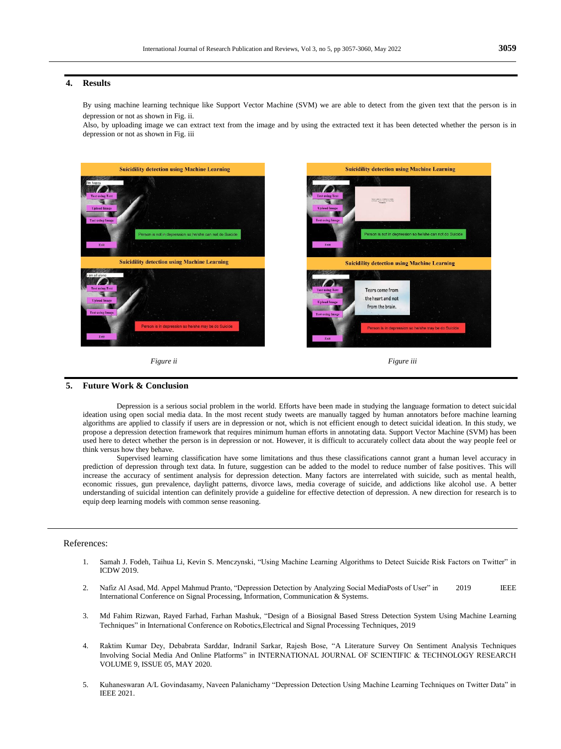## **4. Results**

By using machine learning technique like Support Vector Machine (SVM) we are able to detect from the given text that the person is in depression or not as shown in Fig. ii.

Also, by uploading image we can extract text from the image and by using the extracted text it has been detected whether the person is in depression or not as shown in Fig. iii





## **5. Future Work & Conclusion**

Depression is a serious social problem in the world. Efforts have been made in studying the language formation to detect suicidal ideation using open social media data. In the most recent study tweets are manually tagged by human annotators before machine learning algorithms are applied to classify if users are in depression or not, which is not efficient enough to detect suicidal ideation. In this study, we propose a depression detection framework that requires minimum human efforts in annotating data. Support Vector Machine (SVM) has been used here to detect whether the person is in depression or not. However, it is difficult to accurately collect data about the way people feel or think versus how they behave.

Supervised learning classification have some limitations and thus these classifications cannot grant a human level accuracy in prediction of depression through text data. In future, suggestion can be added to the model to reduce number of false positives. This will increase the accuracy of sentiment analysis for depression detection. Many factors are interrelated with suicide, such as mental health, economic rissues, gun prevalence, daylight patterns, divorce laws, media coverage of suicide, and addictions like alcohol use. A better understanding of suicidal intention can definitely provide a guideline for effective detection of depression. A new direction for research is to equip deep learning models with common sense reasoning.

## References:

- 1. Samah J. Fodeh, Taihua Li, Kevin S. Menczynski, "Using Machine Learning Algorithms to Detect Suicide Risk Factors on Twitter" in ICDW 2019.
- 2. Nafiz Al Asad, Md. Appel Mahmud Pranto, "Depression Detection by Analyzing Social MediaPosts of User" in 2019 IEEE International Conference on Signal Processing, Information, Communication & Systems.
- 3. Md Fahim Rizwan, Rayed Farhad, Farhan Mashuk, "Design of a Biosignal Based Stress Detection System Using Machine Learning Techniques" in International Conference on Robotics,Electrical and Signal Processing Techniques, 2019
- 4. Raktim Kumar Dey, Debabrata Sarddar, Indranil Sarkar, Rajesh Bose, "A Literature Survey On Sentiment Analysis Techniques Involving Social Media And Online Platforms" in INTERNATIONAL JOURNAL OF SCIENTIFIC & TECHNOLOGY RESEARCH VOLUME 9, ISSUE 05, MAY 2020.
- 5. Kuhaneswaran A/L Govindasamy, Naveen Palanichamy "Depression Detection Using Machine Learning Techniques on Twitter Data" in IEEE 2021.